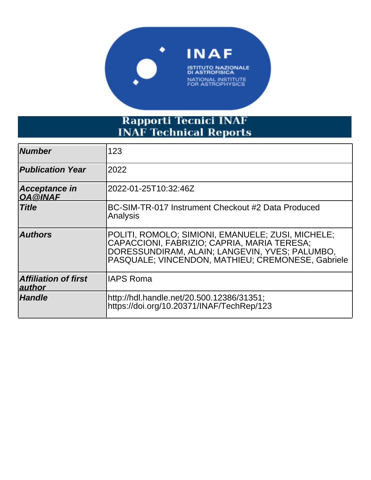

# Rapporti Tecnici INAF<br>INAF Technical Reports

| <b>Number</b>                         | 123                                                                                                                                                                                                     |
|---------------------------------------|---------------------------------------------------------------------------------------------------------------------------------------------------------------------------------------------------------|
| <b>Publication Year</b>               | 2022                                                                                                                                                                                                    |
| Acceptance in<br>OA @INAF             | l2022-01-25T10:32:46Z                                                                                                                                                                                   |
| <b>Title</b>                          | BC-SIM-TR-017 Instrument Checkout #2 Data Produced<br>Analysis                                                                                                                                          |
| <b>Authors</b>                        | POLITI, ROMOLO; SIMIONI, EMANUELE; ZUSI, MICHELE;<br>CAPACCIONI, FABRIZIO; CAPRIA, MARIA TERESA;<br>DORESSUNDIRAM, ALAIN; LANGEVIN, YVES; PALUMBO,<br>PASQUALE: VINCENDON, MATHIEU; CREMONESE, Gabriele |
| <b>Affiliation of first</b><br>author | lIAPS Roma                                                                                                                                                                                              |
| <b>Handle</b>                         | http://hdl.handle.net/20.500.12386/31351;<br>https://doi.org/10.20371/INAF/TechRep/123                                                                                                                  |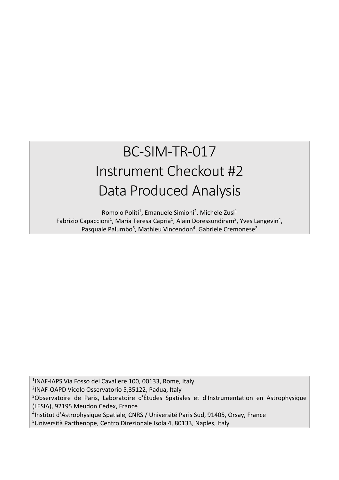## BC-SIM-TR-017 Instrument Checkout #2 Data Produced Analysis

Romolo Politi<sup>1</sup>, Emanuele Simioni<sup>2</sup>, Michele Zusi<sup>1</sup> Fabrizio Capaccioni<sup>1</sup>, Maria Teresa Capria<sup>1</sup>, Alain Doressundiram<sup>3</sup>, Yves Langevin<sup>4</sup>, Pasquale Palumbo<sup>5</sup>, Mathieu Vincendon<sup>4</sup>, Gabriele Cremonese<sup>2</sup>

 INAF-IAPS Via Fosso del Cavaliere 100, 00133, Rome, Italy INAF-OAPD Vicolo Osservatorio 5,35122, Padua, Italy <sup>3</sup>Observatoire de Paris, Laboratoire d'Études Spatiales et d'Instrumentation en Astrophysique (LESIA), 92195 Meudon Cedex, France Institut d'Astrophysique Spatiale, CNRS / Université Paris Sud, 91405, Orsay, France Università Parthenope, Centro Direzionale Isola 4, 80133, Naples, Italy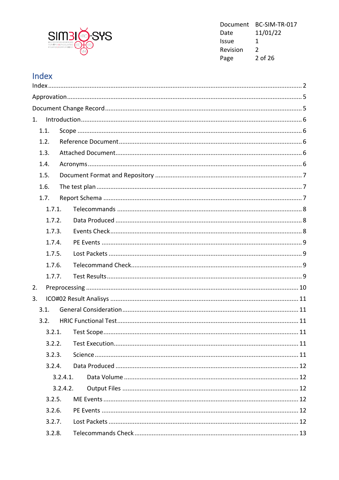

Document BC-SIM-TR-017 Date 11/01/22 Issue  $\mathbf{1}$ Revision  $\overline{2}$ 2 of 26 Page

#### Index

| 1. |        |          |  |
|----|--------|----------|--|
|    | 1.1.   |          |  |
|    | 1.2.   |          |  |
|    | 1.3.   |          |  |
|    | 1.4.   |          |  |
|    | 1.5.   |          |  |
|    | 1.6.   |          |  |
|    | 1.7.   |          |  |
|    | 1.7.1. |          |  |
|    | 1.7.2. |          |  |
|    | 1.7.3. |          |  |
|    | 1.7.4. |          |  |
|    | 1.7.5. |          |  |
|    | 1.7.6. |          |  |
|    | 1.7.7. |          |  |
| 2. |        |          |  |
| 3. |        |          |  |
|    | 3.1.   |          |  |
|    | 3.2.   |          |  |
|    |        |          |  |
|    | 3.2.2. |          |  |
|    | 3.2.3. |          |  |
|    | 3.2.4. |          |  |
|    |        | 3.2.4.1. |  |
|    |        | 3.2.4.2. |  |
|    | 3.2.5. |          |  |
|    | 3.2.6. |          |  |
|    | 3.2.7. |          |  |
|    | 3.2.8. |          |  |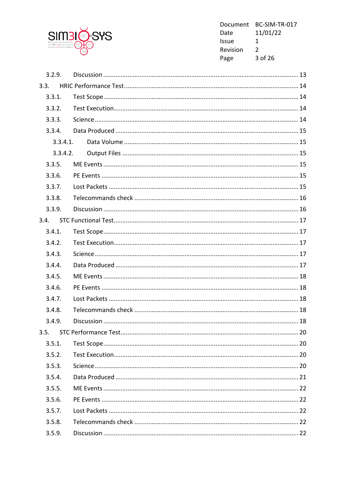

Document BC-SIM-TR-017 Date 11/01/22 Issue  $\mathbf{1}$ Revision  $2^{\circ}$ 3 of 26 Page

| 3.2.9.   |  |
|----------|--|
| 3.3.     |  |
| 3.3.1.   |  |
| 3.3.2.   |  |
| 3.3.3.   |  |
| 3.3.4.   |  |
| 3.3.4.1. |  |
| 3.3.4.2. |  |
| 3.3.5.   |  |
| 3.3.6.   |  |
| 3.3.7.   |  |
| 3.3.8.   |  |
| 3.3.9.   |  |
| 3.4.     |  |
| 3.4.1.   |  |
| 3.4.2.   |  |
| 3.4.3.   |  |
| 3.4.4.   |  |
| 3.4.5.   |  |
| 3.4.6.   |  |
| 3.4.7.   |  |
| 3.4.8.   |  |
| 3.4.9.   |  |
| 3.5.     |  |
| 3.5.1.   |  |
| 3.5.2.   |  |
| 3.5.3.   |  |
| 3.5.4.   |  |
| 3.5.5.   |  |
| 3.5.6.   |  |
| 3.5.7.   |  |
| 3.5.8.   |  |
| 3.5.9.   |  |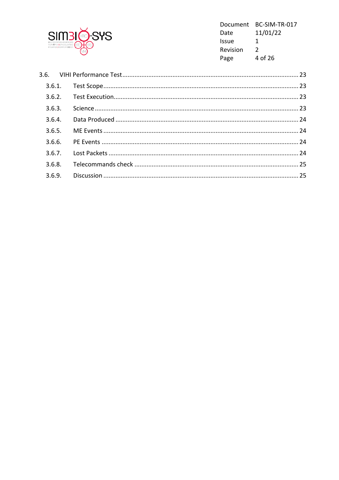

Document BC-SIM-TR-017 Date 11/01/22 Issue  $\mathbf{1}$ Revision  $\overline{2}$ 4 of 26 Page

| 3.6.3. |  |
|--------|--|
| 3.6.4. |  |
| 3.6.5. |  |
| 3.6.6. |  |
| 3.6.7. |  |
|        |  |
|        |  |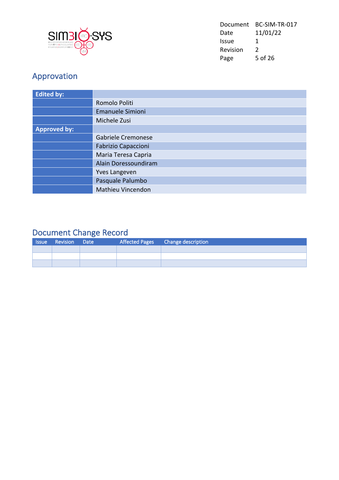

| Document | BC-SIM-TR-017 |
|----------|---------------|
| Date     | 11/01/22      |
| Issue    | 1             |
| Revision | $\mathcal{L}$ |
| Page     | 5 of 26       |

### Approvation

| <b>Edited by:</b>   |                            |
|---------------------|----------------------------|
|                     | Romolo Politi              |
|                     | <b>Emanuele Simioni</b>    |
|                     | Michele Zusi               |
| <b>Approved by:</b> |                            |
|                     | Gabriele Cremonese         |
|                     | <b>Fabrizio Capaccioni</b> |
|                     | Maria Teresa Capria        |
|                     | Alain Doressoundiram       |
|                     | <b>Yves Langeven</b>       |
|                     | Pasquale Palumbo           |
|                     | Mathieu Vincendon          |

#### Document Change Record

| <b>Issue</b> | Revision Date |  | Affected Pages Change description |
|--------------|---------------|--|-----------------------------------|
|              |               |  |                                   |
|              |               |  |                                   |
|              |               |  |                                   |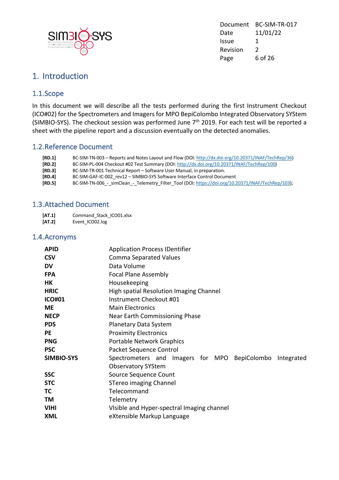

Document BC-SIM-TR-017 Date 11/01/22 Issue 1 Revision 2 Page 6 of 26

#### 1. Introduction

#### 1.1.Scope

In this document we will describe all the tests performed during the first Instrument Checkout (ICO#02) for the Spectrometers and Imagers for MPO BepiColombo Integrated Observatory SYStem (SIMBIO-SYS). The checkout session was performed June 7<sup>th</sup> 2019. For each test will be reported a sheet with the pipeline report and a discussion eventually on the detected anomalies.

#### 1.2.Reference Document

| [RD.1] | BC-SIM-TN-003 – Reports and Notes Layout and Flow (DOI: http://dx.doi.org/10.20371/INAF/TechRep/36) |
|--------|-----------------------------------------------------------------------------------------------------|
| [RD.2] | BC-SIM-PL-004 Checkout #02 Test Summary (DOI: http://dx.doi.org/10.20371/INAF/TechRep/100)          |
| [RD.3] | BC-SIM-TR-001 Technical Report – Software User Manual, in preparation.                              |
| [RD.4] | BC-SIM-GAF-IC-002 rev12 - SIMBIO-SYS Software Interface Control Document                            |
| [RD.5] | BC-SIM-TN-006_-_simClean_-_Telemetry_Filter_Tool (DOI: https://doi.org/10.20371/INAF/TechRep/103);  |

#### 1.3.Attached Document

| [AT.1] | Command Stack ICO01.xlsx |
|--------|--------------------------|
| [AT.2] | Event ICO02.log          |

#### 1.4.Acronyms

| <b>APID</b>   | <b>Application Process IDentifier</b>                       |  |  |  |
|---------------|-------------------------------------------------------------|--|--|--|
| <b>CSV</b>    | <b>Comma Separated Values</b>                               |  |  |  |
| DV            | Data Volume                                                 |  |  |  |
| <b>FPA</b>    | <b>Focal Plane Assembly</b>                                 |  |  |  |
| HΚ            | Housekeeping                                                |  |  |  |
| <b>HRIC</b>   | High spatial Resolution Imaging Channel                     |  |  |  |
| <b>ICO#01</b> | Instrument Checkout #01                                     |  |  |  |
| <b>ME</b>     | <b>Main Electronics</b>                                     |  |  |  |
| <b>NECP</b>   | Near Earth Commissioning Phase                              |  |  |  |
| <b>PDS</b>    | Planetary Data System                                       |  |  |  |
| <b>PE</b>     | <b>Proximity Electronics</b>                                |  |  |  |
| <b>PNG</b>    | Portable Network Graphics                                   |  |  |  |
| <b>PSC</b>    | Packet Sequence Control                                     |  |  |  |
| SIMBIO-SYS    | Spectrometers and Imagers for MPO<br>BepiColombo Integrated |  |  |  |
|               | <b>Observatory SYStem</b>                                   |  |  |  |
| <b>SSC</b>    | Source Sequence Count                                       |  |  |  |
| <b>STC</b>    | STereo imaging Channel                                      |  |  |  |
| ТC            | Telecommand                                                 |  |  |  |
| TM            | Telemetry                                                   |  |  |  |
| <b>VIHI</b>   | Visible and Hyper-spectral Imaging channel                  |  |  |  |
| XML           | eXtensible Markup Language                                  |  |  |  |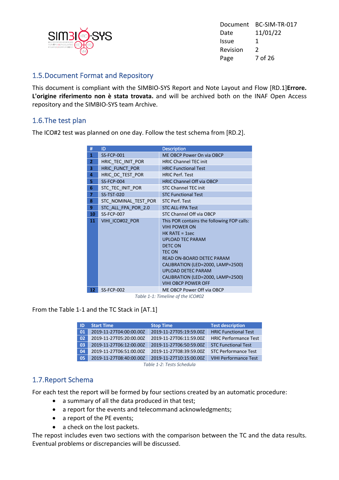

Document BC-SIM-TR-017 Date 11/01/22 Issue 1 Revision 2 Page 7 of 26

#### 1.5.Document Format and Repository

This document is compliant with the SIMBIO-SYS Report and Note Layout and Flow [RD.1]**Errore. L'origine riferimento non è stata trovata.** and will be archived both on the INAF Open Access repository and the SIMBIO-SYS team Archive.

#### 1.6.The test plan

The ICO#2 test was planned on one day. Follow the test schema from [RD.2].

| #               | ID                   | <b>Description</b>                                                                                                                                                                                                                                                                                                    |
|-----------------|----------------------|-----------------------------------------------------------------------------------------------------------------------------------------------------------------------------------------------------------------------------------------------------------------------------------------------------------------------|
| 1               | <b>SS-FCP-001</b>    | ME OBCP Power On via OBCP                                                                                                                                                                                                                                                                                             |
| $\overline{2}$  | HRIC TEC INIT POR    | <b>HRIC Channel TEC init</b>                                                                                                                                                                                                                                                                                          |
| 3               | HRIC FUNCT POR       | <b>HRIC Functional Test</b>                                                                                                                                                                                                                                                                                           |
| 4               | HRIC DC TEST POR     | <b>HRIC Perf. Test</b>                                                                                                                                                                                                                                                                                                |
| 5.              | <b>SS-FCP-004</b>    | <b>HRIC Channel Off via OBCP</b>                                                                                                                                                                                                                                                                                      |
| 6               | STC TEC INIT POR     | <b>STC Channel TEC init</b>                                                                                                                                                                                                                                                                                           |
| $\overline{7}$  | <b>SS-TST-020</b>    | <b>STC Functional Test</b>                                                                                                                                                                                                                                                                                            |
| 8               | STC NOMINAL_TEST_POR | <b>STC Perf. Test</b>                                                                                                                                                                                                                                                                                                 |
| 9               | STC ALL FPA POR 2.0  | <b>STC ALL-FPA Test</b>                                                                                                                                                                                                                                                                                               |
| 10              | <b>SS-FCP-007</b>    | STC Channel Off via OBCP                                                                                                                                                                                                                                                                                              |
| 11 <sup>1</sup> | VIHI ICO#02 POR      | This POR contains the following FOP calls:<br><b>VIHI POWER ON</b><br>$HK$ RATE = 1sec<br><b>UPLOAD TEC PARAM</b><br><b>DETCON</b><br><b>TEC ON</b><br>READ ON-BOARD DETEC PARAM<br>CALIBRATION (LED=2000, LAMP=2500)<br><b>UPLOAD DETEC PARAM</b><br>CALIBRATION (LED=2000, LAMP=2500)<br><b>VIHI OBCP POWER OFF</b> |
| 12 <sup>7</sup> | <b>SS-FCP-002</b>    | ME OBCP Power Off via OBCP                                                                                                                                                                                                                                                                                            |

*Table 1-1: Timeline of the ICO#02*

From the Table 1-1 and the TC Stack in [AT.1]

| ID                  | <b>Start Time</b>       | <b>Stop Time</b>        | <b>Test description</b>      |  |
|---------------------|-------------------------|-------------------------|------------------------------|--|
| 01                  | 2019-11-27T04:00:00.00Z | 2019-11-27T05:19:59.00Z | <b>HRIC Functional Test</b>  |  |
| 02                  | 2019-11-27T05:20:00.00Z | 2019-11-27T06:11:59.00Z | <b>HRIC Performance Test</b> |  |
| 03                  | 2019-11-27T06:12:00.00Z | 2019-11-27T06:50:59.00Z | <b>STC Functional Test</b>   |  |
| 04                  | 2019-11-27T06:51:00.00Z | 2019-11-27T08:39:59.00Z | <b>STC Performance Test</b>  |  |
| 05                  | 2019-11-27T08:40:00.00Z | 2019-11-27T10:15:00.00Z | <b>VIHI Performance Test</b> |  |
| $Tahla 1.$ $Tahola$ |                         |                         |                              |  |

*Table 1-2: Tests Schedula*

#### 1.7.Report Schema

For each test the report will be formed by four sections created by an automatic procedure:

- a summary of all the data produced in that test;
- a report for the events and telecommand acknowledgments;
- a report of the PE events;
- a check on the lost packets.

The repost includes even two sections with the comparison between the TC and the data results. Eventual problems or discrepancies will be discussed.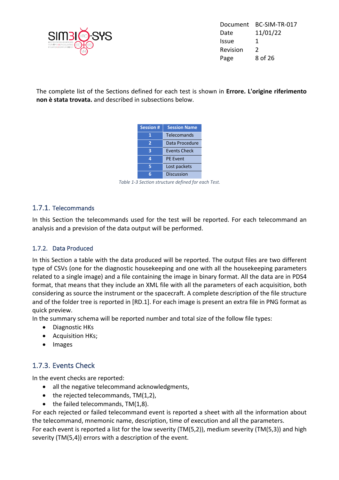

Document BC-SIM-TR-017 Date 11/01/22 Issue 1 Revision 2 Page 8 of 26

The complete list of the Sections defined for each test is shown in **Errore. L'origine riferimento non è stata trovata.** and described in subsections below.

| <b>Session #</b> | <b>Session Name</b> |
|------------------|---------------------|
|                  | Telecomands         |
| $\overline{2}$   | Data Procedure      |
| 3                | <b>Events Check</b> |
| 4                | <b>PE Event</b>     |
| к                | Lost packets        |
|                  | Discussion          |

*Table 1-3 Section structure defined for each Test.*

#### 1.7.1. Telecommands

In this Section the telecommands used for the test will be reported. For each telecommand an analysis and a prevision of the data output will be performed.

#### 1.7.2. Data Produced

In this Section a table with the data produced will be reported. The output files are two different type of CSVs (one for the diagnostic housekeeping and one with all the housekeeping parameters related to a single image) and a file containing the image in binary format. All the data are in PDS4 format, that means that they include an XML file with all the parameters of each acquisition, both considering as source the instrument or the spacecraft. A complete description of the file structure and of the folder tree is reported in [RD.1]. For each image is present an extra file in PNG format as quick preview.

In the summary schema will be reported number and total size of the follow file types:

- Diagnostic HKs
- Acquisition HKs;
- Images

#### 1.7.3. Events Check

In the event checks are reported:

- all the negative telecommand acknowledgments,
- the rejected telecommands, TM(1,2),
- the failed telecommands, TM(1,8).

For each rejected or failed telecommand event is reported a sheet with all the information about the telecommand, mnemonic name, description, time of execution and all the parameters. For each event is reported a list for the low severity (TM(5,2)), medium severity (TM(5,3)) and high severity (TM(5,4)) errors with a description of the event.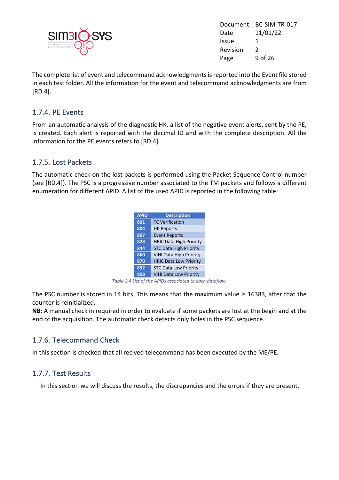

Document BC-SIM-TR-017 Date 11/01/22 Issue 1 Revision 2 Page 9 of 26

The complete list of event and telecommand acknowledgments is reported into the Event file stored in each test folder. All the information for the event and telecommand acknowledgments are from [RD.4].

#### 1.7.4. PE Events

From an automatic analysis of the diagnostic HK, a list of the negative event alerts, sent by the PE, is created. Each alert is reported with the decimal ID and with the complete description. All the information for the PE events refers to [RD.4].

#### 1.7.5. Lost Packets

The automatic check on the lost packets is performed using the Packet Sequence Control number (see [RD.4]). The PSC is a progressive number associated to the TM packets and follows a different enumeration for different APID. A list of the used APID is reported in the following table:

| <b>APID</b> | <b>Description</b>             |
|-------------|--------------------------------|
| 801         | <b>TC Verification</b>         |
| 804         | <b>HK Reports</b>              |
| 807         | <b>Event Reports</b>           |
| 828         | <b>HRIC Data High Priority</b> |
| 844         | <b>STC Data High Priority</b>  |
| 860         | <b>VIHI Data High Priority</b> |
| 870         | <b>HRIC Data Low Priority</b>  |
| 892         | <b>STC Data Low Priority</b>   |
| 908         | <b>VIHI Data Low Priority</b>  |

*Table 1-4 List of the APIDs associated to each dataflow.*

The PSC number is stored in 14 bits. This means that the maximum value is 16383, after that the counter is reinitialized.

**NB:** A manual check in required in order to evaluate if some packets are lost at the begin and at the end of the acquisition. The automatic check detects only holes in the PSC sequence.

#### 1.7.6. Telecommand Check

In this section is checked that all recived telecommand has been executed by the ME/PE.

#### 1.7.7. Test Results

In this section we will discuss the results, the discrepancies and the errors if they are present.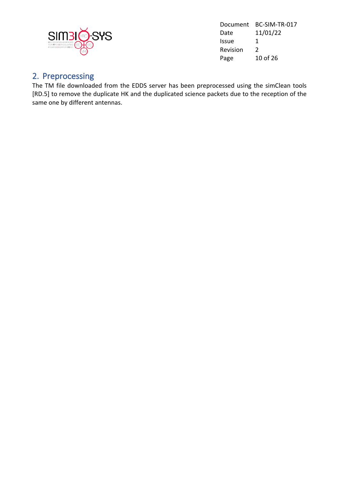

Document BC-SIM-TR-017 Date 11/01/22 Issue 1 Revision 2 Page 10 of 26

#### 2. Preprocessing

The TM file downloaded from the EDDS server has been preprocessed using the simClean tools [RD.5] to remove the duplicate HK and the duplicated science packets due to the reception of the same one by different antennas.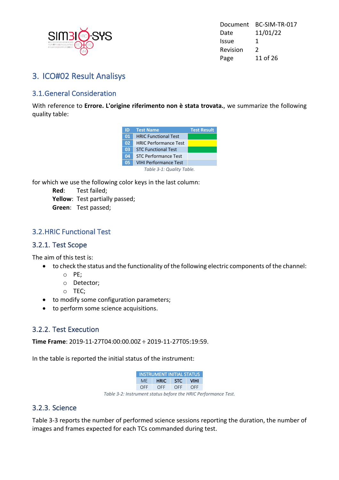

Document BC-SIM-TR-017 Date 11/01/22 Issue 1 Revision 2 Page 11 of 26

#### 3. ICO#02 Result Analisys

#### 3.1.General Consideration

With reference to **Errore. L'origine riferimento non è stata trovata.**, we summarize the following quality table:

| ID | <b>Test Name</b>             | <b>Test Result</b> |
|----|------------------------------|--------------------|
| 01 | <b>HRIC Functional Test</b>  |                    |
| 02 | <b>HRIC Performance Test</b> |                    |
| 03 | <b>STC Functional Test</b>   |                    |
| 04 | <b>STC Performance Test</b>  |                    |
| 05 | <b>VIHI Performance Test</b> |                    |
|    | Table 3-1: Quality Table.    |                    |

for which we use the following color keys in the last column:

**Red**: Test failed;

**Yellow**: Test partially passed;

**Green**: Test passed;

#### 3.2.HRIC Functional Test

#### 3.2.1. Test Scope

The aim of this test is:

- to check the status and the functionality of the following electric components of the channel:
	- o PE;
	- o Detector;
	- o TEC;
- to modify some configuration parameters;
- to perform some science acquisitions.

#### 3.2.2. Test Execution

**Time Frame**: 2019-11-27T04:00:00.00Z ÷ 2019-11-27T05:19:59.

In the table is reported the initial status of the instrument:

|                                                                | <b>INSTRUMENT INITIAL STATUS</b> |                  |  |  |  |
|----------------------------------------------------------------|----------------------------------|------------------|--|--|--|
|                                                                |                                  | ME HRIC STC VIHI |  |  |  |
|                                                                |                                  | OFF OFF OFF OFF  |  |  |  |
| Table 3-2: Instrument status before the HRIC Performance Test. |                                  |                  |  |  |  |

#### 3.2.3. Science

Table 3-3 reports the number of performed science sessions reporting the duration, the number of images and frames expected for each TCs commanded during test.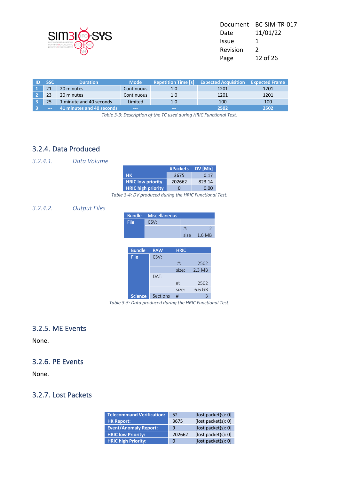

| Document     | BC-SIM-TR-017 |
|--------------|---------------|
| Date         | 11/01/22      |
| <b>Issue</b> | 1             |
| Revision     | $\mathcal{L}$ |
| Page         | 12 of 26      |

| <b>SSC</b>    | <b>Duration</b>           | <b>Mode</b>                | <b>Repetition Time [s]</b> | <b>Expected Acquisition</b> | <b>Expected Frame</b> |
|---------------|---------------------------|----------------------------|----------------------------|-----------------------------|-----------------------|
| 21            | 20 minutes                | <b>Continuous</b>          | 1.0                        | 1201                        | 1201                  |
| 23            | 20 minutes                | Continuous                 | 1.0                        | 1201                        | 1201                  |
|               | 1 minute and 40 seconds   | Limited                    | 1.0                        | 100                         | 100                   |
| $\frac{1}{2}$ | 41 minutes and 40 seconds | $\qquad \qquad - \qquad -$ | $\qquad \qquad -$          | 2502                        | 2502                  |

*Table 3-3: Description of the TC used during HRIC Functional Test.*

#### 3.2.4. Data Produced

*3.2.4.1. Data Volume*

|                           | #Packets     | DV [Mb] |
|---------------------------|--------------|---------|
| <b>HK</b>                 | 3675         | 0.17    |
| <b>HRIC low priority</b>  | 202662       | 823.14  |
| <b>HRIC high priority</b> | $\mathbf{U}$ | 0.00    |

*Table 3-4: DV produced during the HRIC Functional Test.*

#### *3.2.4.2. Output Files*

|      | <b>Bundle Miscellaneous</b> |      |       |
|------|-----------------------------|------|-------|
| File | CSV:                        |      |       |
|      |                             | #∶   |       |
|      |                             | size | 1.6MB |

| <b>Bundle</b> | <b>RAW</b> | <b>HRIC</b> |          |
|---------------|------------|-------------|----------|
| File          | CSV:       |             |          |
|               |            | $#$ :       | 2502     |
|               |            | size:       | $2.3$ MB |
|               | DAT:       |             |          |
|               |            | $#$ :       | 2502     |
|               |            | size:       | 6.6 GB   |
| Science       | Sections   | #           |          |

*Table 3-5: Data produced during the HRIC Functional Test.*

#### 3.2.5. ME Events

None.

#### 3.2.6. PE Events

None.

#### 3.2.7. Lost Packets

| <b>Telecommand Verification:</b> | 52     | [lost packet(s): 0] |
|----------------------------------|--------|---------------------|
| <b>HK Report:</b>                | 3675   | [lost packet(s): 0] |
| <b>Event/Anomaly Report:</b>     | 9      | [lost packet(s): 0] |
| <b>HRIC low Priority:</b>        | 202662 | [lost packet(s): 0] |
| <b>HRIC high Priority:</b>       | O      | [lost packet(s): 0] |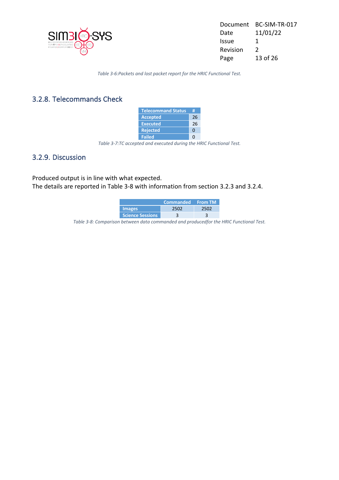

Document BC-SIM-TR-017 Date 11/01/22 Issue 1 Revision 2 Page 13 of 26

*Table 3-6:Packets and lost packet report for the HRIC Functional Test.*

#### 3.2.8. Telecommands Check

| <b>Telecommand Status</b> | Ħ  |
|---------------------------|----|
| <b>Accepted</b>           | 26 |
| <b>Executed</b>           | 26 |
| <b>Rejected</b>           | n  |
| <b>Failed</b>             |    |

*Table 3-7:TC accepted and executed during the HRIC Functional Test.*

#### 3.2.9. Discussion

Produced output is in line with what expected. The details are reported in Table 3-8 with information from section 3.2.3 and 3.2.4.

|                         | <b>Commanded</b> From TM |  |
|-------------------------|--------------------------|--|
| <b>Images</b>           |                          |  |
| <b>Science Sessions</b> |                          |  |

*Table 3-8: Comparison between data commanded and producedfor the HRIC Functional Test.*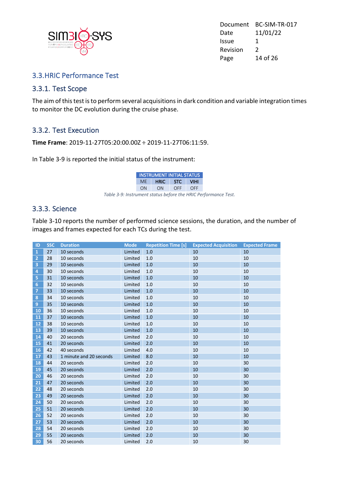

Document BC-SIM-TR-017 Date 11/01/22 Issue 1 Revision 2 Page 14 of 26

#### 3.3.HRIC Performance Test

#### 3.3.1. Test Scope

The aim of this test is to perform several acquisitions in dark condition and variable integration times to monitor the DC evolution during the cruise phase.

#### 3.3.2. Test Execution

**Time Frame**: 2019-11-27T05:20:00.00Z ÷ 2019-11-27T06:11:59.

In Table 3-9 is reported the initial status of the instrument:

*Table 3-9: Instrument status before the HRIC Performance Test.*

#### 3.3.3. Science

Table 3-10 reports the number of performed science sessions, the duration, and the number of images and frames expected for each TCs during the test.

| ID                      | <b>SSC</b> | <b>Duration</b>         | <b>Mode</b> | <b>Repetition Time [s]</b> | <b>Expected Acquisition</b> | <b>Expected Frame</b> |
|-------------------------|------------|-------------------------|-------------|----------------------------|-----------------------------|-----------------------|
| $\mathbf{1}$            | 27         | 10 seconds              | Limited     | 1.0                        | 10                          | 10                    |
| $\overline{2}$          | 28         | 10 seconds              | Limited     | 1.0                        | 10                          | 10                    |
| $\overline{\mathbf{3}}$ | 29         | 10 seconds              | Limited     | 1.0                        | 10                          | 10                    |
| 4                       | 30         | 10 seconds              | Limited     | 1.0                        | 10                          | 10                    |
| 5                       | 31         | 10 seconds              | Limited     | 1.0                        | 10                          | 10                    |
| 6                       | 32         | 10 seconds              | Limited     | 1.0                        | 10                          | 10                    |
| $\overline{7}$          | 33         | 10 seconds              | Limited     | 1.0                        | 10                          | 10                    |
| 8                       | 34         | 10 seconds              | Limited     | 1.0                        | 10                          | 10                    |
| $\overline{9}$          | 35         | 10 seconds              | Limited     | 1.0                        | 10                          | 10                    |
| 10                      | 36         | 10 seconds              | Limited     | 1.0                        | 10                          | 10                    |
| 11                      | 37         | 10 seconds              | Limited     | 1.0                        | 10                          | 10                    |
| 12                      | 38         | 10 seconds              | Limited     | 1.0                        | 10                          | 10                    |
| 13                      | 39         | 10 seconds              | Limited     | 1.0                        | 10                          | 10                    |
| 14                      | 40         | 20 seconds              | Limited     | 2.0                        | 10                          | 10                    |
| 15                      | 41         | 20 seconds              | Limited     | 2.0                        | 10                          | 10                    |
| 16                      | 42         | 40 seconds              | Limited     | 4.0                        | 10                          | 10                    |
| 17                      | 43         | 1 minute and 20 seconds | Limited     | 8.0                        | 10                          | 10                    |
| 18                      | 44         | 20 seconds              | Limited     | 2.0                        | 10                          | 30                    |
| 19                      | 45         | 20 seconds              | Limited     | 2.0                        | 10                          | 30                    |
| $\overline{20}$         | 46         | 20 seconds              | Limited     | 2.0                        | 10                          | 30                    |
| 21                      | 47         | 20 seconds              | Limited     | 2.0                        | 10                          | 30                    |
| 22                      | 48         | 20 seconds              | Limited     | 2.0                        | 10                          | 30                    |
| 23                      | 49         | 20 seconds              | Limited     | 2.0                        | 10                          | 30                    |
| 24                      | 50         | 20 seconds              | Limited     | 2.0                        | 10                          | 30                    |
| 25                      | 51         | 20 seconds              | Limited     | 2.0                        | 10                          | 30                    |
| 26                      | 52         | 20 seconds              | Limited     | 2.0                        | 10                          | 30                    |
| 27                      | 53         | 20 seconds              | Limited     | 2.0                        | 10                          | 30                    |
| 28                      | 54         | 20 seconds              | Limited     | 2.0                        | 10                          | 30                    |
| 29                      | 55         | 20 seconds              | Limited     | 2.0                        | 10                          | 30                    |
| 30                      | 56         | 20 seconds              | Limited     | 2.0                        | 10                          | 30                    |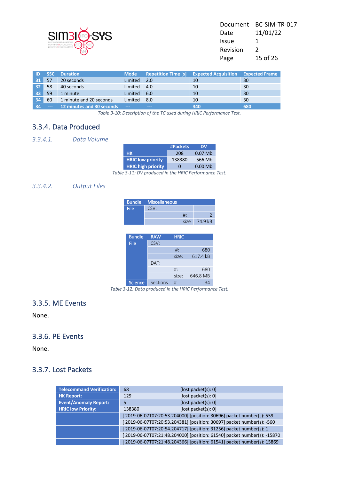

| Document | BC-SIM-TR-017 |
|----------|---------------|
| Date     | 11/01/22      |
| Issue    | 1             |
| Revision | $\mathcal{L}$ |
| Page     | 15 of 26      |
|          |               |

| ID              | <b>SSC</b>    | <b>Duration</b>           | <b>Mode</b>   | <b>Repetition Time [s]</b> | <b>Expected Acquisition</b> | <b>Expected Frame</b> |
|-----------------|---------------|---------------------------|---------------|----------------------------|-----------------------------|-----------------------|
| 31              | 57            | 20 seconds                | Limited       | 2.0                        | 10                          | 30                    |
| 32 <sup>1</sup> | 58            | 40 seconds                | Limited       | 4.0                        | 10                          | 30                    |
| 33 <sup>1</sup> | 59            | 1 minute                  | Limited       | 6.0                        | 10                          | 30                    |
| 34 <sup>1</sup> | 60            | 1 minute and 20 seconds   | Limited       | 8.0                        | 10                          | 30                    |
| 34              | $\frac{1}{2}$ | 12 minutes and 30 seconds | $\frac{1}{2}$ | $\qquad \qquad -$          | 340                         | 680                   |

*Table 3-10: Description of the TC used during HRIC Performance Test.*

#### 3.3.4. Data Produced

*3.3.4.1. Data Volume*

|                           | #Packets     | DΜ        |
|---------------------------|--------------|-----------|
| <b>HK</b>                 | 208          | $0.07$ Mb |
| <b>HRIC low priority</b>  | 138380       | 566 Mb    |
| <b>HRIC high priority</b> | $\mathbf{U}$ | $0.00$ Mb |

*Table 3-11: DV produced in the HRIC Performance Test.*

#### *3.3.4.2. Output Files*

|      | <b>Bundle Miscellaneous</b> |      |         |
|------|-----------------------------|------|---------|
| File | CSV:                        |      |         |
|      |                             | #∶   |         |
|      |                             | size | 74.9 kB |

| <b>Bundle</b> | <b>RAW</b> | <b>HRIC</b> |          |
|---------------|------------|-------------|----------|
| <b>File</b>   | CSV:       |             |          |
|               |            | $#$ :       | 680      |
|               |            | size:       | 617.4 kB |
|               | DAT:       |             |          |
|               |            | $#$ :       | 680      |
|               |            | size:       | 646.8 MB |
| Science       | Sections   | #           |          |

*Table 3-12: Data produced in the HRIC Performance Test.*

#### 3.3.5. ME Events

None.

#### 3.3.6. PE Events

None.

#### 3.3.7. Lost Packets

| <b>Telecommand Verification:</b> | 68                                                                      | [lost packet(s): 0]                                                    |  |
|----------------------------------|-------------------------------------------------------------------------|------------------------------------------------------------------------|--|
| <b>HK Report:</b>                | 129                                                                     | [lost packet(s): 0]                                                    |  |
| <b>Event/Anomaly Report:</b>     | 5                                                                       | [lost packet(s): 0]                                                    |  |
| <b>HRIC low Priority:</b>        | 138380                                                                  | [lost packet(s): 0]                                                    |  |
|                                  | [2019-06-07T07:20:53.204000] [position: 30696] packet number(s): 559    |                                                                        |  |
|                                  | [2019-06-07T07:20:53.204381] [position: 30697] packet number(s): -560   |                                                                        |  |
|                                  | [2019-06-07T07:20:54.204717] [position: 31256] packet number(s): 1      |                                                                        |  |
|                                  | [2019-06-07T07:21:48.204000] [position: 61540] packet number(s): -15870 |                                                                        |  |
|                                  |                                                                         | [2019-06-07T07:21:48.204366] [position: 61541] packet number(s): 15869 |  |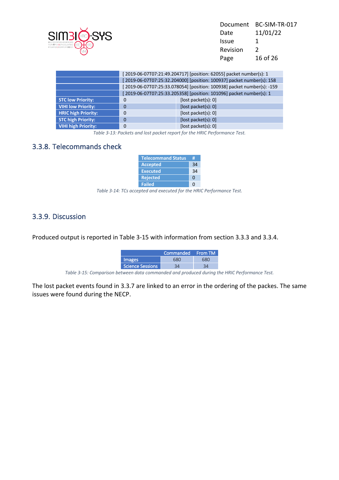| BC-SIM-TR-017 |
|---------------|
| 11/01/22      |
| 1             |
| $\mathcal{L}$ |
| 16 of 26      |
|               |

|                            | [2019-06-07T07:21:49.204717] [position: 62055] packet number(s): 1     |                                                                     |  |
|----------------------------|------------------------------------------------------------------------|---------------------------------------------------------------------|--|
|                            | [2019-06-07T07:25:32.204000] [position: 100937] packet number(s): 158  |                                                                     |  |
|                            | [2019-06-07T07:25:33.078054] [position: 100938] packet number(s): -159 |                                                                     |  |
|                            |                                                                        | [2019-06-07T07:25:33.205358] [position: 101096] packet number(s): 1 |  |
| <b>STC low Priority:</b>   | 0                                                                      | [lost packet(s): 0]                                                 |  |
| <b>VIHI low Priority:</b>  | $\Omega$                                                               | [lost packet(s): 0]                                                 |  |
| <b>HRIC high Priority:</b> | 0                                                                      | [lost packet(s): 0]                                                 |  |
| <b>STC high Priority:</b>  | 0                                                                      | [lost packet(s): 0]                                                 |  |
| <b>VIHI high Priority:</b> | 0                                                                      | [lost packet(s): 0]                                                 |  |

*Table 3-13: Packets and lost packet report for the HRIC Performance Test.*

#### 3.3.8. Telecommands check

| <b>Telecommand Status</b> | Ħ  |
|---------------------------|----|
| <b>Accepted</b>           | 34 |
| <b>Executed</b>           | 34 |
| <b>Rejected</b>           | n  |
| <b>Failed</b>             |    |

*Table 3-14: TCs accepted and executed for the HRIC Performance Test.*

#### 3.3.9. Discussion

Produced output is reported in Table 3-15 with information from section 3.3.3 and 3.3.4.

|                  | Commanded From TM |  |
|------------------|-------------------|--|
| <b>Images</b>    |                   |  |
| Science Sessions |                   |  |

*Table 3-15: Comparison between data commanded and produced during the HRIC Performance Test.*

The lost packet events found in 3.3.7 are linked to an error in the ordering of the packes. The same issues were found during the NECP.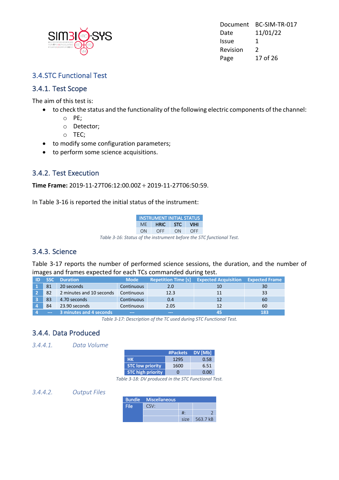

Document BC-SIM-TR-017 Date 11/01/22 Issue 1 Revision 2 Page 17 of 26

#### 3.4.STC Functional Test

#### 3.4.1. Test Scope

The aim of this test is:

- to check the status and the functionality of the following electric components of the channel:
	- o PE;
	- o Detector;
	- o TEC;
- to modify some configuration parameters;
- to perform some science acquisitions.

#### 3.4.2. Test Execution

**Time Frame:** 2019-11-27T06:12:00.00Z ÷ 2019-11-27T06:50:59.

In Table 3-16 is reported the initial status of the instrument:

|                                                                      | <b>INSTRUMENT INITIAL STATUS</b> |             |  |            |
|----------------------------------------------------------------------|----------------------------------|-------------|--|------------|
|                                                                      |                                  | ME HRIC STC |  | VIHI       |
|                                                                      | ON                               | OFF ON      |  | <b>OFF</b> |
| Table 3-16: Status of the instrument before the STC functional Test. |                                  |             |  |            |

#### 3.4.3. Science

Table 3-17 reports the number of performed science sessions, the duration, and the number of images and frames expected for each TCs commanded during test.

|               | <b>Duration</b>          | <b>Mode</b>              | <b>Repetition Time [s]</b> | <b>Expected Acquisition</b> | <b>Expected Frame</b> |
|---------------|--------------------------|--------------------------|----------------------------|-----------------------------|-----------------------|
| 81            | 20 seconds               | <b>Continuous</b>        | 2.0                        | 10                          | 30                    |
| 82            | 2 minutes and 10 seconds | Continuous               | 12.3                       | 11                          | 33                    |
| 83            | 4.70 seconds             | Continuous               | 0.4                        | 12                          | 60                    |
| 84            | 23.90 seconds            | Continuous               | 2.05                       | 12                          | 60                    |
| $\frac{1}{2}$ | 3 minutes and 4 seconds  | <b>PERSONAL PROPERTY</b> | <b>Contract Contract</b>   | 45                          | 183                   |

*Table 3-17: Description of the TC used during STC Functional Test.*

#### 3.4.4. Data Produced

#### *3.4.4.1. Data Volume*

|                         | #Packets | DV [Mb] |
|-------------------------|----------|---------|
| нк                      | 1295     | 0.58    |
| <b>STC low priority</b> | 1600     | 6.51    |
| STC high priority       |          | റ ററ    |

*Table 3-18: DV produced in the STC Functional Test.*

*3.4.4.2. Output Files*

|      | <b>Bundle</b> Miscellaneous |       |          |
|------|-----------------------------|-------|----------|
| File | CSV:                        |       |          |
|      |                             | #:    |          |
|      |                             | size. | 563.7 kB |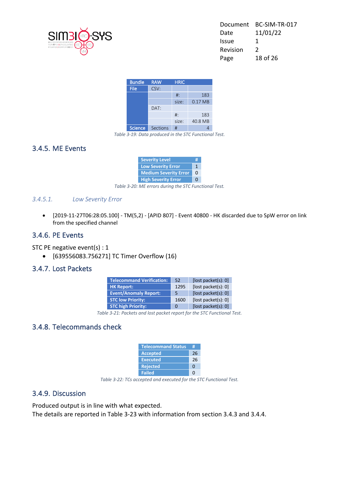

| Document | BC-SIM-TR-017 |
|----------|---------------|
| Date     | 11/01/22      |
| Issue    | 1             |
| Revision | $\mathcal{L}$ |
| Page     | 18 of 26      |
|          |               |

| <b>Bundle</b>  | <b>RAW</b> | <b>HRIC</b> |         |
|----------------|------------|-------------|---------|
| <b>File</b>    | CSV:       |             |         |
|                |            | $#$ :       | 183     |
|                |            | size:       | 0.17 MB |
|                | DAT:       |             |         |
|                |            | $#$ :       | 183     |
|                |            | size:       | 40.8 MB |
| <b>Science</b> | Sections   | #           |         |

*Table 3-19: Data produced in the STC Functional Test.*

#### 3.4.5. ME Events

| <b>Severity Level</b>        | Ħ |
|------------------------------|---|
| <b>Low Severity Error</b>    |   |
| <b>Medium Severity Error</b> |   |
| <b>High Severity Error</b>   |   |

*Table 3-20: ME errors during the STC Functional Test.*

#### *3.4.5.1. Low Severity Error*

• [2019-11-27T06:28:05.100] - TM(5,2) - [APID 807] - Event 40800 - HK discarded due to SpW error on link from the specified channel

#### 3.4.6. PE Events

STC PE negative event(s) : 1

• [639556083.756271] TC Timer Overflow (16)

#### 3.4.7. Lost Packets

| <b>Telecommand Verification:</b> | 52   | [lost packet(s): 0]     |
|----------------------------------|------|-------------------------|
| <b>HK Report:</b>                | 1295 | [lost packet(s): 0]     |
| <b>Event/Anomaly Report:</b>     | 5.   | [ $lost packet(s): 0$ ] |
| <b>STC low Priority:</b>         | 1600 | [lost packet(s): 0]     |
| <b>STC high Priority:</b>        | 0    | [lost packet(s): 0]     |

*Table 3-21: Packets and lost packet report for the STC Functional Test.*

#### 3.4.8. Telecommands check

| <b>Telecommand Status</b> | #  |
|---------------------------|----|
| <b>Accepted</b>           | 26 |
| <b>Executed</b>           | 26 |
| <b>Rejected</b>           | n  |
| <b>Failed</b>             |    |

*Table 3-22: TCs accepted and executed for the STC Functional Test.*

#### 3.4.9. Discussion

Produced output is in line with what expected. The details are reported in Table 3-23 with information from section 3.4.3 and 3.4.4.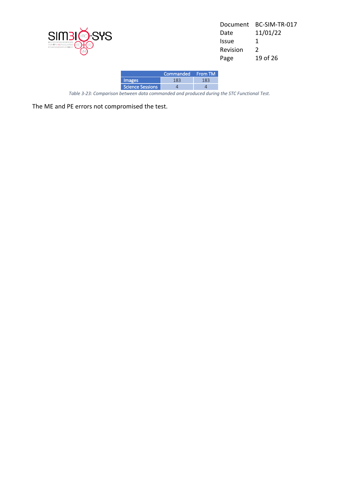

| Document | BC-SIM-TR-017 |
|----------|---------------|
| Date     | 11/01/22      |
| Issue    | 1             |
| Revision | $\mathcal{P}$ |
| Page     | 19 of 26      |
|          |               |

|                  | Commanded From TM |  |
|------------------|-------------------|--|
| <b>Images</b>    |                   |  |
| Science Sessions |                   |  |

*Table 3-23: Comparison between data commanded and produced during the STC Functional Test.*

The ME and PE errors not compromised the test.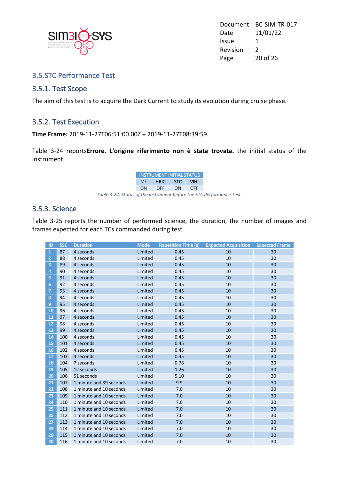

Document BC-SIM-TR-017 Date 11/01/22 Issue 1 Revision 2 Page 20 of 26

#### 3.5.STC Performance Test

#### 3.5.1. Test Scope

The aim of this test is to acquire the Dark Current to study its evolution during cruise phase.

#### 3.5.2. Test Execution

**Time Frame:** 2019-11-27T06:51:00.00Z ÷ 2019-11-27T08:39:59.

Table 3-24 reports**Errore. L'origine riferimento non è stata trovata.** the initial status of the instrument.

*Table 3-24: Status of the instrument before the STC Performance Test.*

#### 3.5.3. Science

Table 3-25 reports the number of performed science, the duration, the number of images and frames expected for each TCs commanded during test.

| ID                      | <b>SSC</b> | <b>Duration</b>         | <b>Mode</b> | <b>Repetition Time [s]</b> | <b>Expected Acquisition</b> | <b>Expected Frame</b> |
|-------------------------|------------|-------------------------|-------------|----------------------------|-----------------------------|-----------------------|
| $\mathbf{1}$            | 87         | 4 seconds               | Limited     | 0.45                       | 10                          | 30                    |
| $\overline{2}$          | 88         | 4 seconds               | Limited     | 0.45                       | 10                          | 30                    |
| $\overline{3}$          | 89         | 4 seconds               | Limited     | 0.45                       | 10                          | 30                    |
| $\overline{4}$          | 90         | 4 seconds               | Limited     | 0.45                       | 10                          | 30                    |
| $\overline{\mathbf{5}}$ | 91         | 4 seconds               | Limited     | 0.45                       | 10                          | 30                    |
| 6                       | 92         | 4 seconds               | Limited     | 0.45                       | 10                          | 30                    |
| $\overline{7}$          | 93         | 4 seconds               | Limited     | 0.45                       | 10                          | 30                    |
| 8                       | 94         | 4 seconds               | Limited     | 0.45                       | 10                          | 30                    |
| $\overline{9}$          | 95         | 4 seconds               | Limited     | 0.45                       | 10                          | 30                    |
| 10                      | 96         | 4 seconds               | Limited     | 0.45                       | 10                          | 30                    |
| 11                      | 97         | 4 seconds               | Limited     | 0.45                       | 10                          | 30                    |
| 12                      | 98         | 4 seconds               | Limited     | 0.45                       | 10                          | 30                    |
| 13                      | 99         | 4 seconds               | Limited     | 0.45                       | 10                          | 30                    |
| 14                      | 100        | 4 seconds               | Limited     | 0.45                       | 10                          | 30                    |
| 15                      | 101        | 4 seconds               | Limited     | 0.45                       | 10                          | 30                    |
| 16                      | 102        | 4 seconds               | Limited     | 0.45                       | 10                          | 30                    |
| 17                      | 103        | 4 seconds               | Limited     | 0.45                       | 10                          | 30                    |
| 18                      | 104        | 7 seconds               | Limited     | 0.78                       | 10                          | 30                    |
| 19                      | 105        | 12 seconds              | Limited     | 1.26                       | 10                          | 30                    |
| 20                      | 106        | 51 seconds              | Limited     | 5.10                       | 10                          | 30                    |
| 21                      | 107        | 1 minute and 39 seconds | Limited     | 9.9                        | 10                          | 30                    |
| 22                      | 108        | 1 minute and 10 seconds | Limited     | 7.0                        | 10                          | 30                    |
| 23                      | 109        | 1 minute and 10 seconds | Limited     | 7.0                        | 10                          | 30                    |
| 24                      | 110        | 1 minute and 10 seconds | Limited     | 7.0                        | 10                          | 30                    |
| 25                      | 111        | 1 minute and 10 seconds | Limited     | 7.0                        | 10                          | 30                    |
| 26                      | 112        | 1 minute and 10 seconds | Limited     | 7.0                        | 10                          | 30                    |
| 27                      | 113        | 1 minute and 10 seconds | Limited     | 7.0                        | 10                          | 30                    |
| 28                      | 114        | 1 minute and 10 seconds | Limited     | 7.0                        | 10                          | 30                    |
| 29                      | 115        | 1 minute and 10 seconds | Limited     | 7.0                        | 10                          | 30                    |
| 30                      | 116        | 1 minute and 10 seconds | Limited     | 7.0                        | 10                          | 30                    |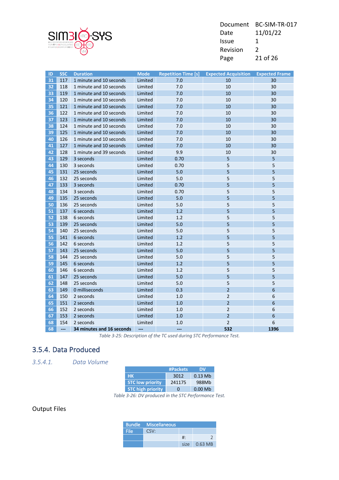

| Document | BC-SIM-TR-017 |
|----------|---------------|
| Date     | 11/01/22      |
| Issue    | 1             |
| Revision | $\mathcal{L}$ |
| Page     | 21 of 26      |

| ID | <b>SSC</b> | <b>Duration</b>           | <b>Mode</b> | <b>Repetition Time [s]</b> | <b>Expected Acquisition</b> | <b>Expected Frame</b> |
|----|------------|---------------------------|-------------|----------------------------|-----------------------------|-----------------------|
| 31 | 117        | 1 minute and 10 seconds   | Limited     | 7.0                        | 10                          | 30                    |
| 32 | 118        | 1 minute and 10 seconds   | Limited     | 7.0                        | 10                          | 30                    |
| 33 | 119        | 1 minute and 10 seconds   | Limited     | 7.0                        | 10                          | 30                    |
| 34 | 120        | 1 minute and 10 seconds   | Limited     | 7.0                        | 10                          | 30                    |
| 35 | 121        | 1 minute and 10 seconds   | Limited     | 7.0                        | 10                          | 30                    |
| 36 | 122        | 1 minute and 10 seconds   | Limited     | 7.0                        | 10                          | 30                    |
| 37 | 123        | 1 minute and 10 seconds   | Limited     | 7.0                        | 10                          | 30                    |
| 38 | 124        | 1 minute and 10 seconds   | Limited     | 7.0                        | 10                          | 30                    |
| 39 | 125        | 1 minute and 10 seconds   | Limited     | 7.0                        | 10                          | 30                    |
| 40 | 126        | 1 minute and 10 seconds   | Limited     | 7.0                        | 10                          | 30                    |
| 41 | 127        | 1 minute and 10 seconds   | Limited     | 7.0                        | 10                          | 30                    |
| 42 | 128        | 1 minute and 39 seconds   | Limited     | 9.9                        | 10                          | 30                    |
| 43 | 129        | 3 seconds                 | Limited     | 0.70                       | 5                           | 5                     |
| 44 | 130        | 3 seconds                 | Limited     | 0.70                       | 5                           | 5                     |
| 45 | 131        | 25 seconds                | Limited     | 5.0                        | 5                           | 5                     |
| 46 | 132        | 25 seconds                | Limited     | $5.0$                      | 5                           | 5                     |
| 47 | 133        | 3 seconds                 | Limited     | 0.70                       | 5                           | 5                     |
| 48 | 134        | 3 seconds                 | Limited     | 0.70                       | 5                           | 5                     |
| 49 | 135        | 25 seconds                | Limited     | 5.0                        | 5                           | 5                     |
| 50 | 136        | 25 seconds                | Limited     | 5.0                        | 5                           | 5                     |
| 51 | 137        | 6 seconds                 | Limited     | 1.2                        | 5                           | 5                     |
| 52 | 138        | 6 seconds                 | Limited     | 1.2                        | 5                           | 5                     |
| 53 | 139        | 25 seconds                | Limited     | 5.0                        | 5                           | 5                     |
| 54 | 140        | 25 seconds                | Limited     | 5.0                        | 5                           | 5                     |
| 55 | 141        | 6 seconds                 | Limited     | 1.2                        | 5                           | 5                     |
| 56 | 142        | 6 seconds                 | Limited     | 1.2                        | 5                           | 5                     |
| 57 | 143        | 25 seconds                | Limited     | 5.0                        | 5                           | 5                     |
| 58 | 144        | 25 seconds                | Limited     | 5.0                        | 5                           | 5                     |
| 59 | 145        | 6 seconds                 | Limited     | 1.2                        | 5                           | 5                     |
| 60 | 146        | 6 seconds                 | Limited     | 1.2                        | 5                           | 5                     |
| 61 | 147        | 25 seconds                | Limited     | 5.0                        | 5                           | 5                     |
| 62 | 148        | 25 seconds                | Limited     | 5.0                        | 5                           | 5                     |
| 63 | 149        | 0 milliseconds            | Limited     | 0.3                        | $\overline{2}$              | 6                     |
| 64 | 150        | 2 seconds                 | Limited     | 1.0                        | $\overline{2}$              | 6                     |
| 65 | 151        | 2 seconds                 | Limited     | 1.0                        | $\overline{2}$              | 6                     |
| 66 | 152        | 2 seconds                 | Limited     | 1.0                        | $\overline{2}$              | 6                     |
| 67 | 153        | 2 seconds                 | Limited     | 1.0                        | $\overline{2}$              | 6                     |
| 68 | 154        | 2 seconds                 | Limited     | 1.0                        | $\overline{2}$              | 6                     |
| 68 | ---        | 34 minutes and 16 seconds | ---         | ---                        | 532                         | 1396                  |

*Table 3-25: Description of the TC used during STC Performance Test.*

#### 3.5.4. Data Produced

*3.5.4.1. Data Volume*

|                          | #Packets          | DV        |
|--------------------------|-------------------|-----------|
| <b>HK</b>                | 3012              | $0.13$ Mb |
| <b>STC low priority</b>  | 241175            | 988Mb     |
| <b>STC high priority</b> | $\mathbf{\Omega}$ | $0.00$ Mb |

*Table 3-26: DV produced in the STC Performance Test.*

#### Output Files

|      | <b>Bundle Miscellaneous</b> |    |                        |
|------|-----------------------------|----|------------------------|
| File | CSV:                        |    |                        |
|      |                             | #∶ |                        |
|      |                             |    | size $0.63 \text{ MB}$ |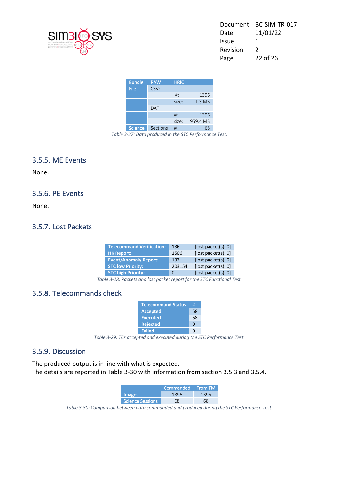

| Document | BC-SIM-TR-017 |
|----------|---------------|
| Date     | 11/01/22      |
| Issue    | 1             |
| Revision | $\mathcal{P}$ |
| Page     | 22 of 26      |
|          |               |

| <b>Bundle</b>  | <b>RAW</b> | <b>HRIC</b> |                   |
|----------------|------------|-------------|-------------------|
| File           | CSV:       |             |                   |
|                |            | $#$ :       | 1396              |
|                |            | size:       | 1.3 <sub>MB</sub> |
|                | DAT:       |             |                   |
|                |            | $#$ :       | 1396              |
|                |            | size:       | 959.4 MB          |
| <b>Science</b> | Sections   | #           | 68                |

*Table 3-27: Data produced in the STC Performance Test.*

#### 3.5.5. ME Events

None.

#### 3.5.6. PE Events

None.

#### 3.5.7. Lost Packets

| <b>Telecommand Verification:</b> | 136    | [lost packet(s): 0]     |
|----------------------------------|--------|-------------------------|
| <b>HK Report:</b>                | 1506   | [lost packet(s): 0]     |
| <b>Event/Anomaly Report:</b>     | 137    | [ $lost packet(s): 0$ ] |
| <b>STC low Priority:</b>         | 203154 | [ $lost packet(s): 0$ ] |
| <b>STC high Priority:</b>        | O      | [lost packet(s): 0]     |

*Table 3-28: Packets and lost packet report for the STC Functional Test.*

#### 3.5.8. Telecommands check

| <b>Telecommand Status</b> |    |
|---------------------------|----|
| <b>Accepted</b>           | 68 |
| <b>Executed</b>           | 68 |
| <b>Rejected</b>           | O  |
| <b>Failed</b>             |    |

*Table 3-29: TCs accepted and executed during the STC Performance Test.*

#### 3.5.9. Discussion

The produced output is in line with what is expected. The details are reported in Table 3-30 with information from section 3.5.3 and 3.5.4.

|                  | Commanded From TM |    |
|------------------|-------------------|----|
| <b>Images</b>    | 1396              |    |
| Science Sessions |                   | 58 |

*Table 3-30: Comparison between data commanded and produced during the STC Performance Test.*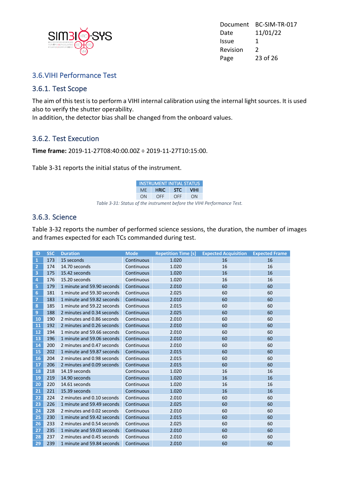

Document BC-SIM-TR-017 Date 11/01/22 Issue 1 Revision 2 Page 23 of 26

#### 3.6.VIHI Performance Test

#### 3.6.1. Test Scope

The aim of this test is to perform a VIHI internal calibration using the internal light sources. It is used also to verify the shutter operability.

In addition, the detector bias shall be changed from the onboard values.

#### 3.6.2. Test Execution

**Time frame:** 2019-11-27T08:40:00.00Z ÷ 2019-11-27T10:15:00.

Table 3-31 reports the initial status of the instrument.

|                                                                        | <b>INSTRUMENT INITIAL STATUS</b> |  |
|------------------------------------------------------------------------|----------------------------------|--|
|                                                                        | ME HRIC STC VIHI                 |  |
|                                                                        | ON OFF OFF ON                    |  |
| Table 3-31: Status of the instrument before the VIHI Performance Test. |                                  |  |

#### 3.6.3. Science

Table 3-32 reports the number of performed science sessions, the duration, the number of images and frames expected for each TCs commanded during test.

| ID              | <b>SSC</b> | <b>Duration</b>            | <b>Mode</b> | <b>Repetition Time [s]</b> | <b>Expected Acquisition</b> | <b>Expected Frame</b> |
|-----------------|------------|----------------------------|-------------|----------------------------|-----------------------------|-----------------------|
| $\mathbf{1}$    | 173        | 15 seconds                 | Continuous  | 1.020                      | 16                          | 16                    |
| $\overline{2}$  | 174        | 14.70 seconds              | Continuous  | 1.020                      | 16                          | 16                    |
| 3               | 175        | 15.42 seconds              | Continuous  | 1.020                      | 16                          | 16                    |
| $\overline{4}$  | 176        | 15.20 seconds              | Continuous  | 1.020                      | 16                          | 16                    |
| 5               | 179        | 1 minute and 59.90 seconds | Continuous  | 2.010                      | 60                          | 60                    |
| $6\phantom{1}6$ | 181        | 1 minute and 59.30 seconds | Continuous  | 2.025                      | 60                          | 60                    |
| $\overline{7}$  | 183        | 1 minute and 59.82 seconds | Continuous  | 2.010                      | 60                          | 60                    |
| 8               | 185        | 1 minute and 59.22 seconds | Continuous  | 2.015                      | 60                          | 60                    |
| 9               | 188        | 2 minutes and 0.34 seconds | Continuous  | 2.025                      | 60                          | 60                    |
| 10              | 190        | 2 minutes and 0.86 seconds | Continuous  | 2.010                      | 60                          | 60                    |
| 11              | 192        | 2 minutes and 0.26 seconds | Continuous  | 2.010                      | 60                          | 60                    |
| 12              | 194        | 1 minute and 59.66 seconds | Continuous  | 2.010                      | 60                          | 60                    |
| 13              | 196        | 1 minute and 59.06 seconds | Continuous  | 2.010                      | 60                          | 60                    |
| 14              | 200        | 2 minutes and 0.47 seconds | Continuous  | 2.010                      | 60                          | 60                    |
| 15              | 202        | 1 minute and 59.87 seconds | Continuous  | 2.015                      | 60                          | 60                    |
| 16              | 204        | 2 minutes and 0.98 seconds | Continuous  | 2.015                      | 60                          | 60                    |
| 17              | 206        | 2 minutes and 0.09 seconds | Continuous  | 2.015                      | 60                          | 60                    |
| 18              | 218        | 14.19 seconds              | Continuous  | 1.020                      | 16                          | 16                    |
| 19              | 219        | 14.90 seconds              | Continuous  | 1.020                      | 16                          | 16                    |
| 20              | 220        | 14.61 seconds              | Continuous  | 1.020                      | 16                          | 16                    |
| 21              | 221        | 15.39 seconds              | Continuous  | 1.020                      | 16                          | 16                    |
| 22              | 224        | 2 minutes and 0.10 seconds | Continuous  | 2.010                      | 60                          | 60                    |
| 23              | 226        | 1 minute and 59.49 seconds | Continuous  | 2.025                      | 60                          | 60                    |
| 24              | 228        | 2 minutes and 0.02 seconds | Continuous  | 2.010                      | 60                          | 60                    |
| 25              | 230        | 1 minute and 59.42 seconds | Continuous  | 2.015                      | 60                          | 60                    |
| 26              | 233        | 2 minutes and 0.54 seconds | Continuous  | 2.025                      | 60                          | 60                    |
| 27              | 235        | 1 minute and 59.03 seconds | Continuous  | 2.010                      | 60                          | 60                    |
| 28              | 237        | 2 minutes and 0.45 seconds | Continuous  | 2.010                      | 60                          | 60                    |
| 29              | 239        | 1 minute and 59.84 seconds | Continuous  | 2.010                      | 60                          | 60                    |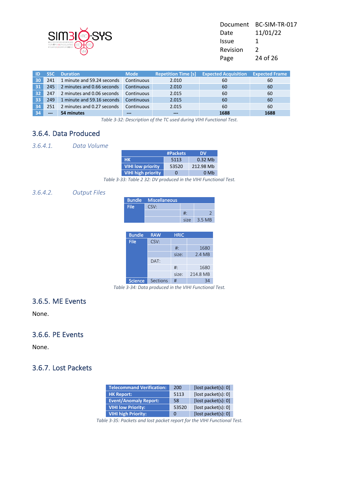

| BC-SIM-TR-017 |
|---------------|
| 11/01/22      |
| 1             |
| $\mathcal{L}$ |
| 24 of 26      |
|               |

| ID  |       | <b>Duration</b>            | <b>Mode</b>       | <b>Repetition Time [s]</b> | <b>Expected Acquisition</b> | <b>Expected Frame</b> |
|-----|-------|----------------------------|-------------------|----------------------------|-----------------------------|-----------------------|
| 30  | 241   | 1 minute and 59.24 seconds | Continuous        | 2.010                      | 60                          | 60                    |
| 31  | 245   | 2 minutes and 0.66 seconds | Continuous        | 2.010                      | 60                          | 60                    |
| 32  | 247   | 2 minutes and 0.06 seconds | Continuous        | 2.015                      | 60                          | 60                    |
| -33 | 249   | 1 minute and 59.16 seconds | <b>Continuous</b> | 2.015                      | 60                          | 60                    |
| 34  | 251   | 2 minutes and 0.27 seconds | <b>Continuous</b> | 2.015                      | 60                          | 60                    |
|     | $---$ | 54 minutes                 | ---               | ---                        | 1688                        | 1688                  |

*Table 3-32: Description of the TC used during VIHI Functional Test.*

#### 3.6.4. Data Produced

#### *3.6.4.1. Data Volume*

|                           | #Packets | DΜ        |
|---------------------------|----------|-----------|
| <b>HK</b>                 | 5113     | $0.32$ Mb |
| <b>VIHI low priority</b>  | 53520    | 212.98 Mb |
| <b>VIHI high priority</b> |          | 0 Mh      |

*Table 3-33: Table 2 32: DV produced in the VIHI Functional Test.*

#### *3.6.4.2. Output Files*

|      | <b>Bundle Miscellaneous</b> |       |        |
|------|-----------------------------|-------|--------|
| File | CSV:                        |       |        |
|      |                             | #∶    |        |
|      |                             | size. | 3.5 MB |

| <b>Bundle</b>  | <b>RAW</b> | <b>HRIC</b> |          |
|----------------|------------|-------------|----------|
| <b>File</b>    | CSV:       |             |          |
|                |            | $#$ :       | 1680     |
|                |            | size:       | 2.4 MB   |
|                | DAT:       |             |          |
|                |            | $#$ :       | 1680     |
|                |            | size:       | 214.8 MB |
| <b>Science</b> | Sections   | #           |          |

*Table 3-34: Data produced in the VIHI Functional Test.*

#### 3.6.5. ME Events

None.

#### 3.6.6. PE Events

None.

#### 3.6.7. Lost Packets

| <b>Telecommand Verification:</b> | 200   | [lost packet(s): 0] |
|----------------------------------|-------|---------------------|
| <b>HK Report:</b>                | 5113  | [lost packet(s): 0] |
| <b>Event/Anomaly Report:</b>     | 58    | [lost packet(s): 0] |
| <b>VIHI low Priority:</b>        | 53520 | [lost packet(s): 0] |
| <b>VIHI high Priority:</b>       | 0     | [lost packet(s): 0] |

*Table 3-35: Packets and lost packet report for the VIHI Functional Test.*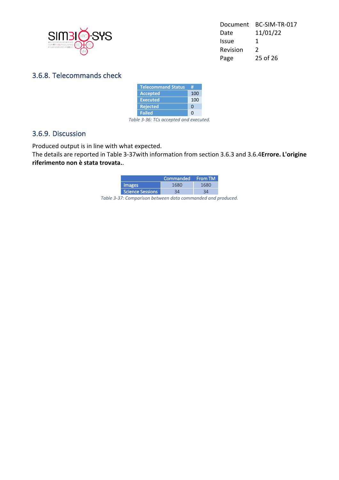

| Document | BC-SIM-TR-017 |
|----------|---------------|
| Date     | 11/01/22      |
| Issue    | 1             |
| Revision | $\mathcal{L}$ |
| Page     | $25$ of $26$  |

#### 3.6.8. Telecommands check

| <b>Telecommand Status</b> | Ħ   |
|---------------------------|-----|
| <b>Accepted</b>           | 100 |
| <b>Executed</b>           | 100 |
| <b>Rejected</b>           | O   |
| <b>Failed</b>             | n   |
|                           |     |

*Table 3-36: TCs accepted and executed.*

#### 3.6.9. Discussion

Produced output is in line with what expected.

The details are reported in Table 3-37with information from section 3.6.3 and 3.6.4**Errore. L'origine riferimento non è stata trovata.**.

|                  | Commanded From TM |      |
|------------------|-------------------|------|
| <b>Images</b>    | 1680              | 1680 |
| Science Sessions | 34                | ว⊿   |

*Table 3-37: Comparison between data commanded and produced.*